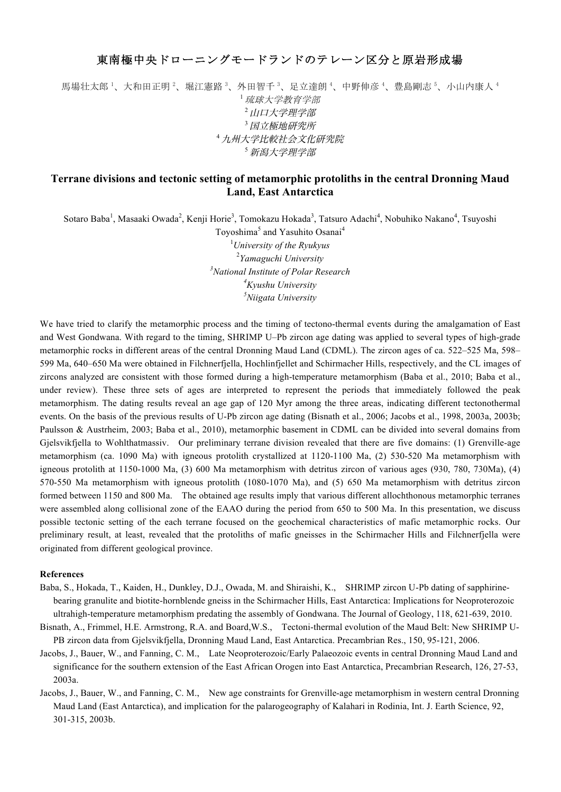## 東南極中央ドローニングモードランドのテレーン区分と原岩形成場

馬場壮太郎 '、大和田正明 '、堀江憲路 '、外田智千 '、足立達朗 '、中野伸彦 '、豊島剛志 '、小山内康人 ' <sup>1</sup>琉球大学教育学部 <sup>2</sup>山口大学理学部 <sup>3</sup>国立極地研究所 <sup>4</sup>九州大学比較社会文化研究院 <sup>5</sup>新潟大学理学部

## **Terrane divisions and tectonic setting of metamorphic protoliths in the central Dronning Maud Land, East Antarctica**

Sotaro Baba<sup>1</sup>, Masaaki Owada<sup>2</sup>, Kenji Horie<sup>3</sup>, Tomokazu Hokada<sup>3</sup>, Tatsuro Adachi<sup>4</sup>, Nobuhiko Nakano<sup>4</sup>, Tsuyoshi

Toyoshima<sup>5</sup> and Yasuhito Osanai<sup>4</sup> *University of the Ryukyus Yamaguchi University National Institute of Polar Research Kyushu University Niigata University*

We have tried to clarify the metamorphic process and the timing of tectono-thermal events during the amalgamation of East and West Gondwana. With regard to the timing, SHRIMP U–Pb zircon age dating was applied to several types of high-grade metamorphic rocks in different areas of the central Dronning Maud Land (CDML). The zircon ages of ca. 522–525 Ma, 598– 599 Ma, 640–650 Ma were obtained in Filchnerfjella, Hochlinfjellet and Schirmacher Hills, respectively, and the CL images of zircons analyzed are consistent with those formed during a high-temperature metamorphism (Baba et al., 2010; Baba et al., under review). These three sets of ages are interpreted to represent the periods that immediately followed the peak metamorphism. The dating results reveal an age gap of 120 Myr among the three areas, indicating different tectonothermal events. On the basis of the previous results of U-Pb zircon age dating (Bisnath et al., 2006; Jacobs et al., 1998, 2003a, 2003b; Paulsson & Austrheim, 2003; Baba et al., 2010), metamorphic basement in CDML can be divided into several domains from Gjelsvikfjella to Wohlthatmassiv. Our preliminary terrane division revealed that there are five domains: (1) Grenville-age metamorphism (ca. 1090 Ma) with igneous protolith crystallized at 1120-1100 Ma, (2) 530-520 Ma metamorphism with igneous protolith at 1150-1000 Ma, (3) 600 Ma metamorphism with detritus zircon of various ages (930, 780, 730Ma), (4) 570-550 Ma metamorphism with igneous protolith (1080-1070 Ma), and (5) 650 Ma metamorphism with detritus zircon formed between 1150 and 800 Ma. The obtained age results imply that various different allochthonous metamorphic terranes were assembled along collisional zone of the EAAO during the period from 650 to 500 Ma. In this presentation, we discuss possible tectonic setting of the each terrane focused on the geochemical characteristics of mafic metamorphic rocks. Our preliminary result, at least, revealed that the protoliths of mafic gneisses in the Schirmacher Hills and Filchnerfjella were originated from different geological province.

## **References**

- Baba, S., Hokada, T., Kaiden, H., Dunkley, D.J., Owada, M. and Shiraishi, K., SHRIMP zircon U-Pb dating of sapphirinebearing granulite and biotite-hornblende gneiss in the Schirmacher Hills, East Antarctica: Implications for Neoproterozoic ultrahigh-temperature metamorphism predating the assembly of Gondwana. The Journal of Geology, 118, 621-639, 2010.
- Bisnath, A., Frimmel, H.E. Armstrong, R.A. and Board,W.S., Tectoni-thermal evolution of the Maud Belt: New SHRIMP U-PB zircon data from Gjelsvikfjella, Dronning Maud Land, East Antarctica. Precambrian Res., 150, 95-121, 2006.
- Jacobs, J., Bauer, W., and Fanning, C. M., Late Neoproterozoic/Early Palaeozoic events in central Dronning Maud Land and significance for the southern extension of the East African Orogen into East Antarctica, Precambrian Research, 126, 27-53, 2003a.
- Jacobs, J., Bauer, W., and Fanning, C. M., New age constraints for Grenville-age metamorphism in western central Dronning Maud Land (East Antarctica), and implication for the palarogeography of Kalahari in Rodinia, Int. J. Earth Science, 92, 301-315, 2003b.